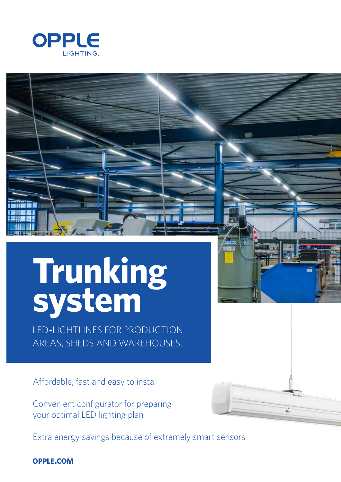

# **Trunking system**

LED-LIGHTLINES FOR PRODUCTION AREAS, SHEDS AND WAREHOUSES.

Affordable, fast and easy to install

Convenient configurator for preparing your optimal LED lighting plan

Extra energy savings because of extremely smart sensors

**OPPLE.COM**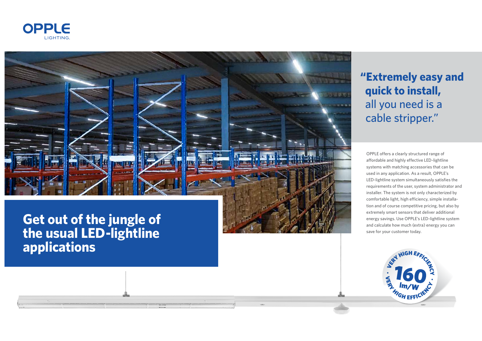OPPLE offers a clearly structured range of affordable and highly effective LED-lightline systems with matching accessories that can be used in any application. As a result, OPPLE's LED-lightline system simultaneously satisfies the requirements of the user, system administrator and installer. The system is not only characterized by comfortable light, high efficiency, simple installa tion and of course competitive pricing, but also by extremely smart sensors that deliver additional energy savings. Use OPPLE's LED-lightline system and calculate how much (extra) energy you can save for your customer today.





**the usual LED-lightline applications**

## **"Extremely easy and quick to install,** all you need is a cable stripper."

<sup>F</sup>FICIENC<sup>Y</sup>

 $\mathbf{F}_{\mathbf{r}}$ 

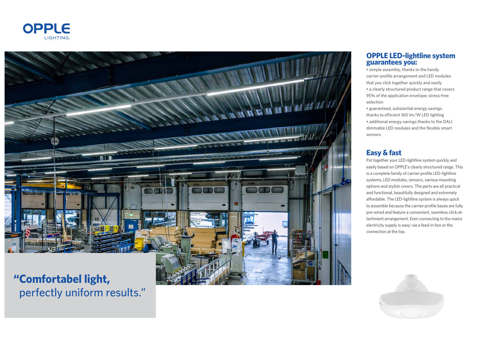



perfectly uniform results."

#### **OPPLE LED-lightline system guarantees you:**

• simple assembly, thanks to the handy carrier-profile arrangement and LED modules that you click together quickly and easily • a clearly structured product range that covers 95% of the application envelope; stress-free selection

• guaranteed, substantial energy savings thanks to efficient 160 lm/W LED lighting • additional energy savings thanks to the DALI dimmable LED modules and the flexible smart sensors

### **Easy & fast**

Put together your LED-lightline system quickly and easily based on OPPLE's clearly structured range. This is a complete family of carrier-profile LED-lightline systems, LED modules, sensors, various mounting options and stylish covers. The parts are all practical and functional, beautifully designed and extremely affordable. The LED-lightline system is always quick to assemble because the carrier-profile bases are fully pre-wired and feature a convenient, seamless click-at tachment arrangement. Even connecting to the mains electricity supply is easy: via a feed-in box or the connection at the top.

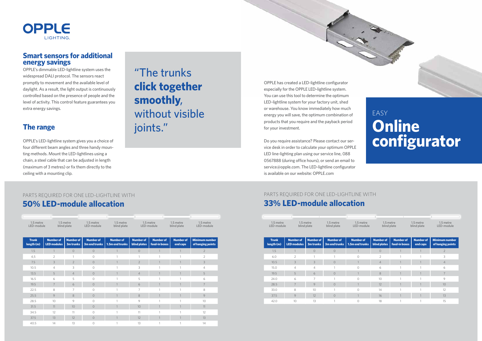

#### **Smart sensors for additional energy savings**

OPPLE's dimmable LED-lightline system uses the widespread DALI protocol. The sensors react promptly to movement and the available level of daylight. As a result, the light output is continuously controlled based on the presence of people and the level of activity. This control feature guarantees you extra energy savings.

### **The range**

OPPLE's LED-lightline system gives you a choice of four different beam angles and three handy mounting methods. Mount the LED-lightlines using a chain, a steel cable that can be adjusted in length (maximum of 3 metres) or fix them directly to the ceiling with a mounting clip.

## EASY **Online configurator**

## "The trunks **click together smoothly**, without visible joints."

#### **50% LED-module allocation 33% LED-module allocation** PARTS REQUIRED FOR ONE LED-LIGHTLINE WITH PARTS REQUIRED FOR ONE LED-LIGHTLINE WITH

| 1.5 metre<br>LED-module    |                                        | 1.5 metre<br>blind plate | 1.5 metre<br>LED-module                  | 1.5 metre<br>blind plate            |                                  | 1.5 metre<br>blind plate<br>LED-module |                              | 1.5 metre<br>LED-module                    |
|----------------------------|----------------------------------------|--------------------------|------------------------------------------|-------------------------------------|----------------------------------|----------------------------------------|------------------------------|--------------------------------------------|
| <b>Trunk</b><br>length (m) | <b>Number of</b><br><b>LED modules</b> | Number of<br>3m trunks   | <b>Number of</b><br><b>3m end trunks</b> | <b>Number of</b><br>1.5m end trunks | <b>Number of</b><br>blind plates | <b>Number of</b><br>feed-in boxes      | <b>Number of</b><br>end caps | <b>Minimum number</b><br>of hanging points |
| 1.5                        |                                        | $\circ$                  | $\circ$                                  | $\overline{1}$                      | $\circ$                          | $\mathbf{1}$                           |                              | $\overline{2}$                             |
| 4,5                        | $\overline{2}$                         | $\mathbf{1}$             | $\Omega$                                 | 1                                   |                                  | 1                                      |                              | $\overline{2}$                             |
| 7.5                        | 3                                      | $\overline{2}$           | $\circ$                                  |                                     | $\overline{2}$                   | $\mathbf{1}$                           |                              | 3                                          |
| 10.5                       | $\overline{4}$                         | 3                        | $\circ$                                  | $\overline{1}$                      | 3                                | 1                                      | 1                            | $\overline{4}$                             |
| 13.5                       | 5                                      | $\overline{4}$           | $\circ$                                  |                                     | $\overline{4}$                   | 1                                      |                              | 5                                          |
| 16.5                       | 6                                      | 5                        | $\Omega$                                 |                                     | 5                                | 1                                      | 1                            | 6                                          |
| 19.5                       | 7                                      | 6                        | $\circ$                                  |                                     | 6                                | 1                                      |                              | $\overline{7}$                             |
| 22.5                       | 8                                      | $\overline{7}$           | $\Omega$                                 | h                                   | $\overline{7}$                   | $\mathbf{1}$                           | 1                            | 8                                          |
| 25.5                       | 9                                      | 8                        | $\circ$                                  |                                     | 8                                | 1                                      |                              | 9                                          |
| 28.5                       | 10                                     | 9                        | $\bigcap$                                | $\overline{1}$                      | 9                                | 1                                      | 1                            | 10 <sup>1</sup>                            |
| 31.5                       | 11                                     | 10 <sup>°</sup>          | $\Omega$                                 | 1                                   | 10 <sup>°</sup>                  | $\overline{1}$                         |                              | 11                                         |
| 34.5                       | 12                                     | 11                       | $\Omega$                                 | $\overline{1}$                      | 11                               | 1                                      | 1                            | 12                                         |
| 37.5                       | 13                                     | 12                       | $\circ$                                  |                                     | 12                               | 1                                      | 1                            | 13                                         |
| 40.5                       | 14                                     | 13                       | $\Omega$                                 |                                     | 13                               | 1                                      |                              | 14                                         |

| 1.5 metre<br>1.5 metre<br>LED-module |                                        | blind plate                   | 1.5 metre<br>blind plate          | 1.5 metre<br>LED-module             | 1.5 metre<br>blind plate         |                                   | 1.5 metre<br>blind plate | 1.5 metre<br>LED-module                    |
|--------------------------------------|----------------------------------------|-------------------------------|-----------------------------------|-------------------------------------|----------------------------------|-----------------------------------|--------------------------|--------------------------------------------|
| <b>Trunk</b><br>length (m)           | <b>Number of</b><br><b>LED modules</b> | <b>Number of</b><br>3m trunks | <b>Number of</b><br>3m end trunks | <b>Number of</b><br>1.5m end trunks | <b>Number of</b><br>blind plates | <b>Number of</b><br>feed-in boxes | Number of<br>end caps    | <b>Minimum number</b><br>of hanging points |
| 1.5                                  |                                        | $\overline{O}$                | $\circ$                           | $\mathbf{1}$                        | $\circ$                          |                                   |                          | $\overline{2}$                             |
| 6.0                                  | $\overline{2}$                         | $\mathbf{1}$                  |                                   | $\Omega$                            | $\overline{2}$                   | $\overline{1}$                    |                          | 3                                          |
| 10.5                                 | 3                                      | 3                             | $\circ$                           |                                     | $\overline{4}$                   |                                   |                          | $\overline{4}$                             |
| 15.0                                 | $\overline{4}$                         | 4                             |                                   | $\Omega$                            | 6                                | $\overline{1}$                    |                          | 6                                          |
| 19.5                                 | 5                                      | 6                             | $\Omega$                          | $\mathbf{1}$                        | 8                                |                                   |                          | $\overline{7}$                             |
| 24.0                                 | 6                                      | 7                             |                                   | $\Omega$                            | 10                               |                                   |                          | 9                                          |
| 28.5                                 | $\overline{7}$                         | 9                             | $\Omega$                          | $\mathbf{1}$                        | 12                               |                                   |                          | 10 <sup>°</sup>                            |
| 33.0                                 | 8                                      | 10                            |                                   | $\bigcap$                           | 14                               |                                   |                          | 12                                         |
| 37.5                                 | 9                                      | 12                            | $\circ$                           |                                     | 16                               |                                   |                          | 13                                         |
| 42.0                                 | 10                                     | 13                            | $\overline{a}$                    | $\Omega$                            | 18                               | $\overline{1}$                    |                          | 15                                         |



OPPLE has created a LED-lightline configurator especially for the OPPLE LED-lightline system. You can use this tool to determine the optimum LED-lightline system for your factory unit, shed or warehouse. You know immediately how much energy you will save, the optimum combination of products that you require and the payback period for your investment.

Do you require assistance? Please contact our service desk in order to calculate your optimum OPPLE LED line-lighting plan using our service line, 088 0567888 (during office hours), or send an email to service@opple.com. The LED-lightline configurator is available on our website: OPPLE.com